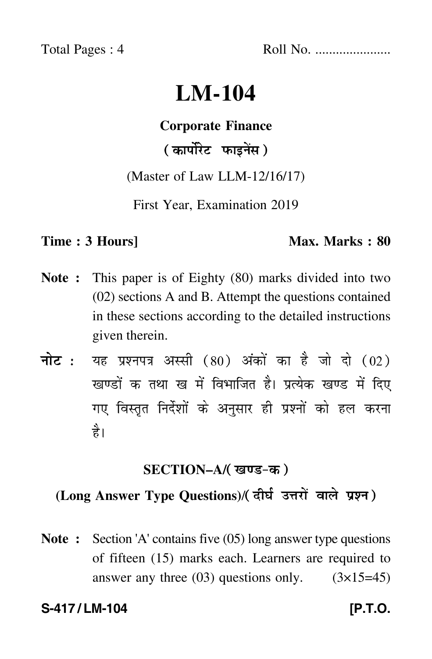Total Pages : 4 Roll No. ......................

## **LM-104**

# **Corporate Finance**

### ( कार्पोरेट फाइनेंस )

(Master of Law LLM-12/16/17)

First Year, Examination 2019

#### **Time : 3 Hours]** Max. Marks : 80

- **Note :** This paper is of Eighty (80) marks divided into two (02) sections A and B. Attempt the questions contained in these sections according to the detailed instructions given therein.
- नोट : यह प्रश्नपत्र अस्सी (80) अंकों का है जो दो (02) खण्डों क तथा ख में विभाजित है। प्रत्येक खण्ड में दिए गए विस्तृत निर्देशों के अनुसार ही प्रश्नों को हल करन<mark>ा</mark> है।

#### <u>SECTION–A/( खण्ड-क</u> )

#### **(Long Answer Type Questions)**/

**Note :** Section 'A' contains five (05) long answer type questions of fifteen (15) marks each. Learners are required to answer any three  $(03)$  questions only.  $(3\times15=45)$ 

#### **S-417/LM-104 IP.T.O.**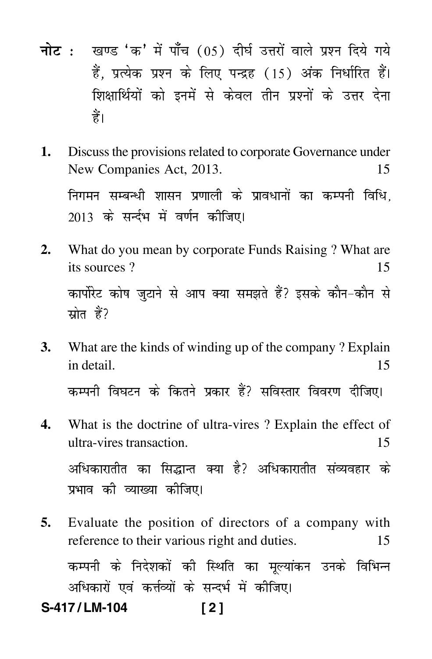- <mark>नोट</mark> : खण्ड 'क' में पाँच (05) दीर्घ उत्तरों वाले प्रश्न दिये गये हैं, प्रत्येक प्रश्न के लिए पन्द्रह (15) अंक निर्धारित हैं। शिक्षार्थियों को इनमें से केवल तीन प्रश्नों के उत्तर देना हैं।
- **1.** Discuss the provisions related to corporate Governance under New Companies Act, 2013. 15 निगमन सम्बन्धी शासन प्रणाली के प्रावधानों का कम्पनी विधि, 2013 के सर्न्दभ में वर्णन कीजिए।
- **2.** What do you mean by corporate Funds Raising ? What are its sources ? 15 कार्पोरेट कोष जुटाने से आप क्या समझते हैं? इसके कौन-कौन से स्रोत हैं?
- **3.** What are the kinds of winding up of the company ? Explain in detail. 15 कम्पनी विघटन के कितने प्रकार हैं? सविस्तार विवरण दीजिए।
- **4.** What is the doctrine of ultra-vires ? Explain the effect of ultra-vires transaction. 15 अधिकारातीत का सिद्धान्त क्या है? अधिकारातीत संव्यवहार के प्रभाव की व्याख्या कीजिए।
- **5.** Evaluate the position of directors of a company with reference to their various right and duties. 15 कम्पनी के निदेशकों की स्थिति का मूल्यांकन उनके विभिन्न अधिकारों एवं कर्त्तव्यों के सन्दर्भ में कीजिए। **S-417 / LM-104 [ 2 ]**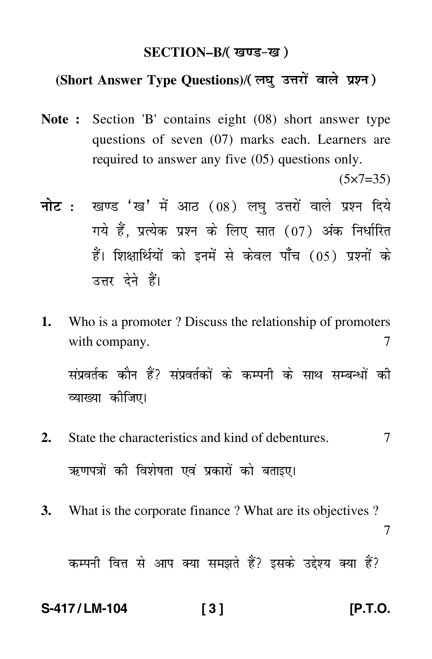#### **SECTION–B/**

#### **(Short Answer Type Questions)**/

- **Note :** Section 'B' contains eight (08) short answer type questions of seven (07) marks each. Learners are required to answer any five (05) questions only.  $(5 \times 7 = 35)$
- <mark>नोट</mark> : खण्ड 'ख' में आठ (08) लघु उत्तरों वाले प्रश्न दिये गये हैं, प्रत्येक प्रश्न के लिए सात (07) अंक निर्धारित हैं। शिक्षार्थियों को इनमें से केवल पाँच (05) प्रश्नों के उत्तर देने हैं।
- **1.** Who is a promoter ? Discuss the relationship of promoters with company. 7

संप्रवर्तक कौन हैं? संप्रवर्तकों के कम्पनी के साथ सम्बन्धों की व्याख्या कीजिए।

- **2.** State the characteristics and kind of debentures.  $\overline{7}$ ऋणपत्रों की विशेषता एवं प्रकारों को बताइए।
- **3.** What is the corporate finance ? What are its objectives ? 7

कम्पनी वित्त से आप क्या समझते हैं? इसके उद्देश्य क्या हैं?

#### **S-417 / LM-104 [ 3 ] [P.T.O.**